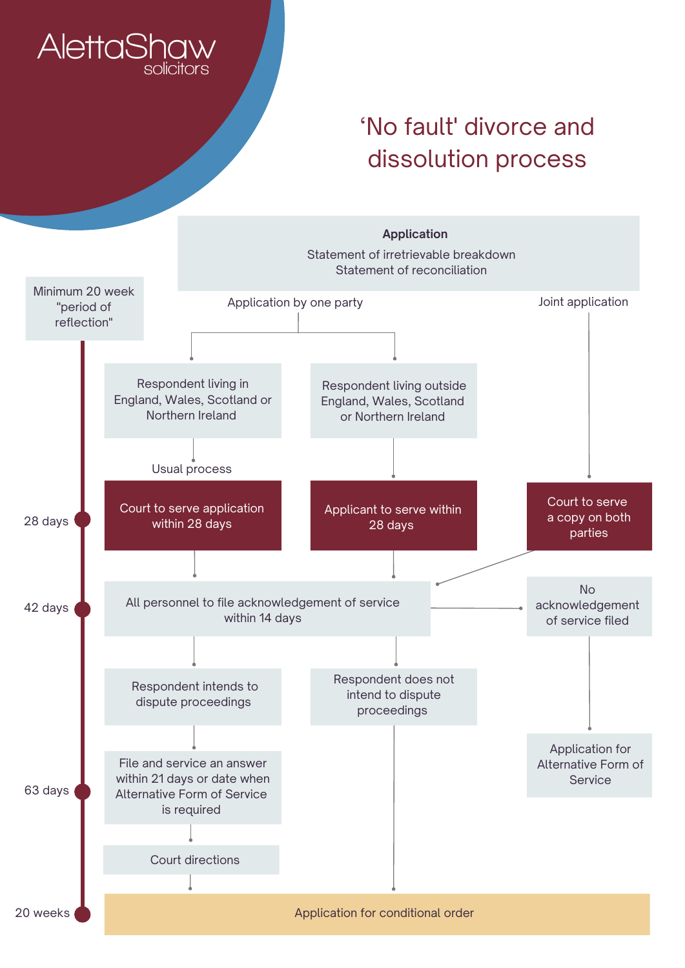## **AlettaShaw**

## 'No fault' divorce and dissolution process